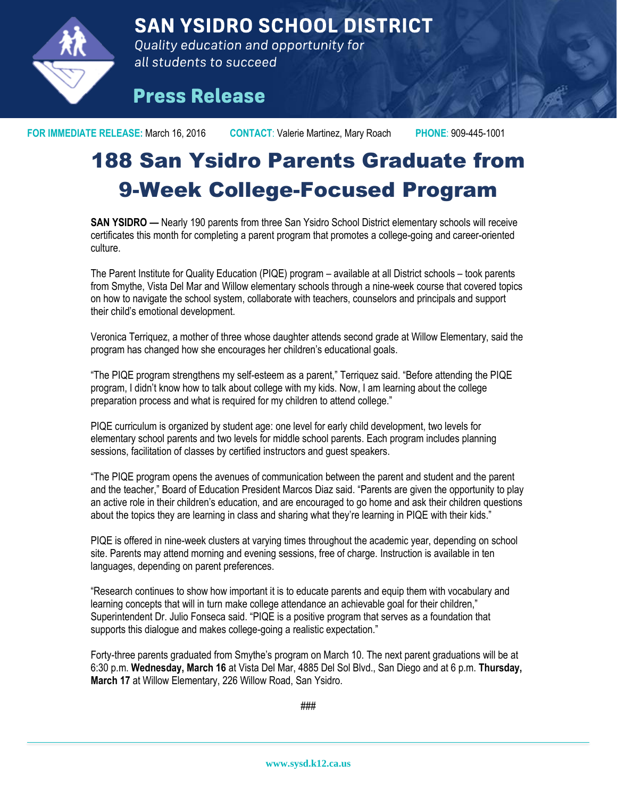

**SAN YSIDRO SCHOOL DISTRICT** 

Quality education and opportunity for all students to succeed

## **Press Release**

**FOR IMMEDIATE RELEASE:** March 16, 2016 **CONTACT**: Valerie Martinez, Mary Roach **PHONE**: 909-445-1001

## 188 San Ysidro Parents Graduate from 9-Week College-Focused Program

**SAN YSIDRO —** Nearly 190 parents from three San Ysidro School District elementary schools will receive certificates this month for completing a parent program that promotes a college-going and career-oriented culture.

The Parent Institute for Quality Education (PIQE) program – available at all District schools – took parents from Smythe, Vista Del Mar and Willow elementary schools through a nine-week course that covered topics on how to navigate the school system, collaborate with teachers, counselors and principals and support their child's emotional development.

Veronica Terriquez, a mother of three whose daughter attends second grade at Willow Elementary, said the program has changed how she encourages her children's educational goals.

"The PIQE program strengthens my self-esteem as a parent," Terriquez said. "Before attending the PIQE program, I didn't know how to talk about college with my kids. Now, I am learning about the college preparation process and what is required for my children to attend college."

PIQE curriculum is organized by student age: one level for early child development, two levels for elementary school parents and two levels for middle school parents. Each program includes planning sessions, facilitation of classes by certified instructors and guest speakers.

"The PIQE program opens the avenues of communication between the parent and student and the parent and the teacher," Board of Education President Marcos Diaz said. "Parents are given the opportunity to play an active role in their children's education, and are encouraged to go home and ask their children questions about the topics they are learning in class and sharing what they're learning in PIQE with their kids."

PIQE is offered in nine-week clusters at varying times throughout the academic year, depending on school site. Parents may attend morning and evening sessions, free of charge. Instruction is available in ten languages, depending on parent preferences.

"Research continues to show how important it is to educate parents and equip them with vocabulary and learning concepts that will in turn make college attendance an achievable goal for their children," Superintendent Dr. Julio Fonseca said. "PIQE is a positive program that serves as a foundation that supports this dialogue and makes college-going a realistic expectation."

Forty-three parents graduated from Smythe's program on March 10. The next parent graduations will be at 6:30 p.m. **Wednesday, March 16** at Vista Del Mar, 4885 Del Sol Blvd., San Diego and at 6 p.m. **Thursday, March 17** at Willow Elementary, 226 Willow Road, San Ysidro.

###